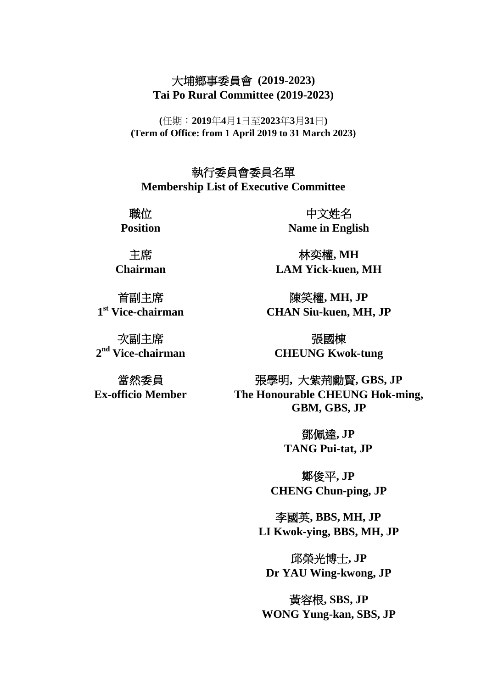## 大埔鄉事委員會 **(2019-2023) Tai Po Rural Committee (2019-2023)**

**(**任期︰**2019**年**4**月**1**日至**2023**年**3**月**31**日**) (Term of Office: from 1 April 2019 to 31 March 2023)**

執行委員會委員名單 **Membership List of Executive Committee** 

職位 **Position**

主席 **Chairman**

首副主席 **1 st Vice-chairman**

次副主席 **2 nd Vice-chairman**

當然委員 **Ex-officio Member**

中文姓名 **Name in English**

林奕權**, MH LAM Yick-kuen, MH**

陳笑權**, MH, JP CHAN Siu-kuen, MH, JP**

張國棟 **CHEUNG Kwok-tung**

張學明**,** 大紫荊勳賢**, GBS, JP The Honourable CHEUNG Hok-ming, GBM, GBS, JP**

> 鄧佩達**, JP TANG Pui-tat, JP**

鄭俊平**, JP CHENG Chun-ping, JP**

李國英**, BBS, MH, JP LI Kwok-ying, BBS, MH, JP**

邱榮光博士**, JP Dr YAU Wing-kwong, JP**

黃容根**, SBS, JP WONG Yung-kan, SBS, JP**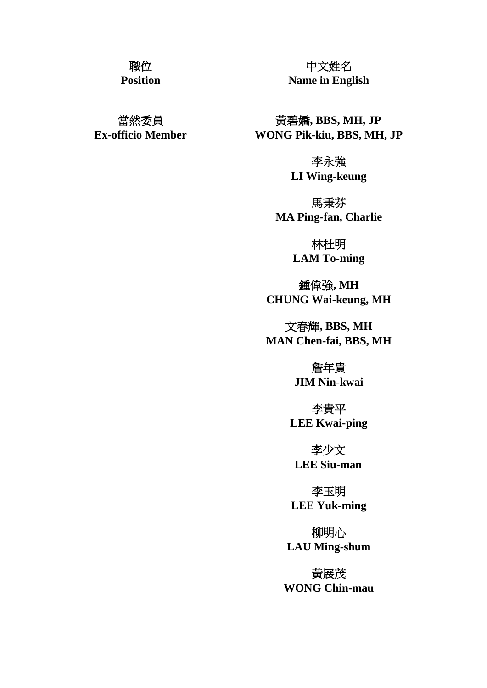## 職位

**Position**

當然委員 **Ex-officio Member**

中文姓名 **Name in English**

黃碧嬌**, BBS, MH, JP WONG Pik-kiu, BBS, MH, JP**

> 李永強 **LI Wing-keung**

馬秉芬 **MA Ping-fan, Charlie**

> 林杜明 **LAM To-ming**

鍾偉強**, MH CHUNG Wai-keung, MH**

文春輝**, BBS, MH MAN Chen-fai, BBS, MH**

> 詹年貴 **JIM Nin-kwai**

李貴平 **LEE Kwai-ping**

李少文 **LEE Siu-man**

李玉明 **LEE Yuk-ming**

柳明心 **LAU Ming-shum**

黃展茂 **WONG Chin-mau**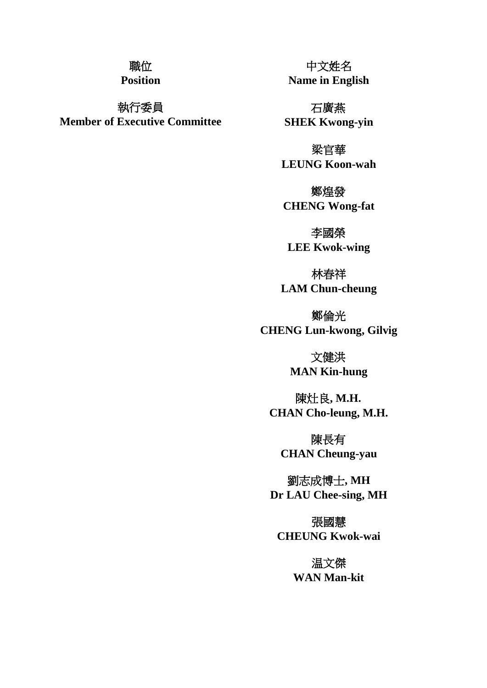## 職位

**Position**

執行委員 **Member of Executive Committee**

中文姓名 **Name in English**

石廣燕 **SHEK Kwong-yin**

梁官華 **LEUNG Koon-wah**

鄭煌發 **CHENG Wong-fat**

李國榮 **LEE Kwok-wing**

林春祥 **LAM Chun-cheung**

鄭倫光 **CHENG Lun-kwong, Gilvig**

> 文健洪 **MAN Kin-hung**

陳灶良**, M.H. CHAN Cho-leung, M.H.**

陳長有 **CHAN Cheung-yau**

劉志成博士**, MH Dr LAU Chee-sing, MH**

張國慧 **CHEUNG Kwok-wai**

> 温文傑 **WAN Man-kit**